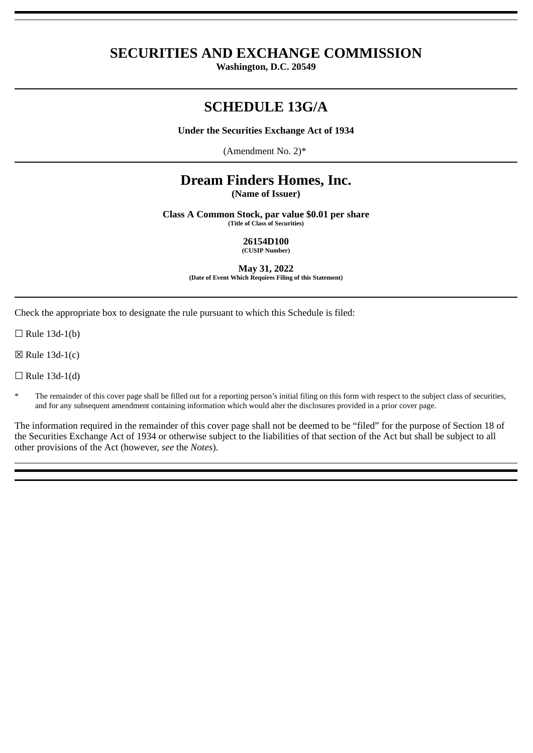## **SECURITIES AND EXCHANGE COMMISSION**

**Washington, D.C. 20549**

# **SCHEDULE 13G/A**

**Under the Securities Exchange Act of 1934**

(Amendment No. 2)\*

# **Dream Finders Homes, Inc.**

**(Name of Issuer)**

**Class A Common Stock, par value \$0.01 per share (Title of Class of Securities)**

> **26154D100 (CUSIP Number)**

**May 31, 2022 (Date of Event Which Requires Filing of this Statement)**

Check the appropriate box to designate the rule pursuant to which this Schedule is filed:

 $\Box$  Rule 13d-1(b)

 $\boxtimes$  Rule 13d-1(c)

 $\Box$  Rule 13d-1(d)

The remainder of this cover page shall be filled out for a reporting person's initial filing on this form with respect to the subject class of securities, and for any subsequent amendment containing information which would alter the disclosures provided in a prior cover page.

The information required in the remainder of this cover page shall not be deemed to be "filed" for the purpose of Section 18 of the Securities Exchange Act of 1934 or otherwise subject to the liabilities of that section of the Act but shall be subject to all other provisions of the Act (however, *see* the *Notes*).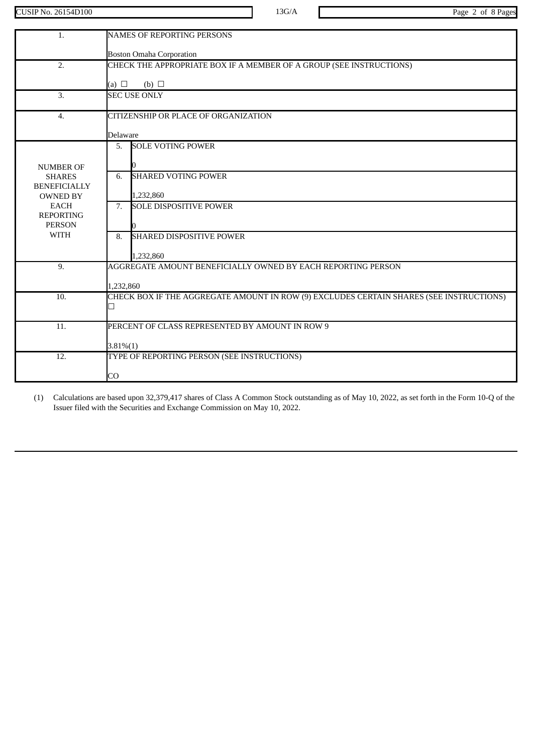CUSIP No. 26154D100 13G/A Page 2 of 8 Pages

| $\mathbf{1}$ .                       | <b>NAMES OF REPORTING PERSONS</b>                                                       |
|--------------------------------------|-----------------------------------------------------------------------------------------|
|                                      | <b>Boston Omaha Corporation</b>                                                         |
| 2.                                   | CHECK THE APPROPRIATE BOX IF A MEMBER OF A GROUP (SEE INSTRUCTIONS)                     |
|                                      |                                                                                         |
|                                      | $(b)$ $\square$<br>(a) $\Box$                                                           |
| 3.                                   | <b>SEC USE ONLY</b>                                                                     |
| $\overline{4}$ .                     | CITIZENSHIP OR PLACE OF ORGANIZATION                                                    |
|                                      | <b>Delaware</b>                                                                         |
|                                      | <b>SOLE VOTING POWER</b><br>5.                                                          |
|                                      |                                                                                         |
| <b>NUMBER OF</b>                     | <b>SHARED VOTING POWER</b><br>6.                                                        |
| <b>SHARES</b><br><b>BENEFICIALLY</b> |                                                                                         |
| <b>OWNED BY</b>                      | 1,232,860                                                                               |
| <b>EACH</b>                          | <b>SOLE DISPOSITIVE POWER</b><br>7.                                                     |
| <b>REPORTING</b><br><b>PERSON</b>    |                                                                                         |
| <b>WITH</b>                          | <b>SHARED DISPOSITIVE POWER</b><br>8.                                                   |
|                                      |                                                                                         |
|                                      | 1,232,860                                                                               |
| 9.                                   | AGGREGATE AMOUNT BENEFICIALLY OWNED BY EACH REPORTING PERSON                            |
|                                      | 1.232.860                                                                               |
| 10.                                  | CHECK BOX IF THE AGGREGATE AMOUNT IN ROW (9) EXCLUDES CERTAIN SHARES (SEE INSTRUCTIONS) |
|                                      |                                                                                         |
| 11.                                  | PERCENT OF CLASS REPRESENTED BY AMOUNT IN ROW 9                                         |
|                                      |                                                                                         |
|                                      | $3.81\%(1)$                                                                             |
| 12.                                  | TYPE OF REPORTING PERSON (SEE INSTRUCTIONS)                                             |
|                                      | CO                                                                                      |
|                                      |                                                                                         |

(1) Calculations are based upon 32,379,417 shares of Class A Common Stock outstanding as of May 10, 2022, as set forth in the Form 10-Q of the Issuer filed with the Securities and Exchange Commission on May 10, 2022.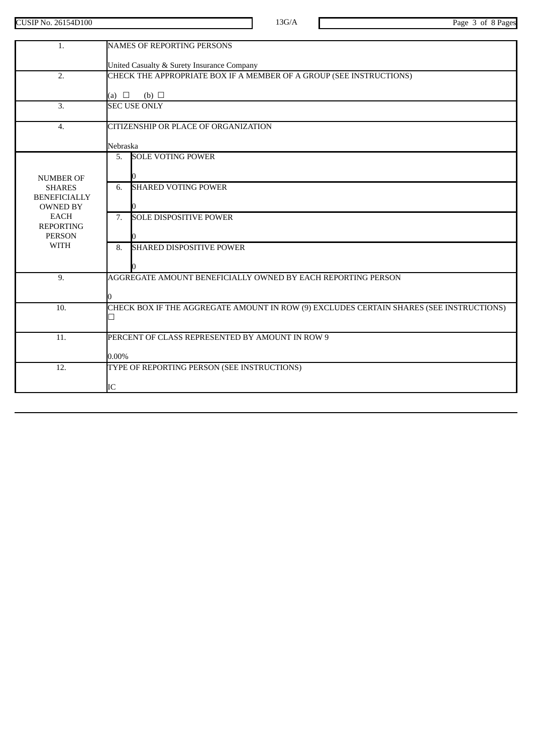CUSIP No. 26154D100 13G/A Page 3 of 8 Pages

| 1.                                   | <b>NAMES OF REPORTING PERSONS</b>                                                       |
|--------------------------------------|-----------------------------------------------------------------------------------------|
|                                      | United Casualty & Surety Insurance Company                                              |
| 2.                                   | CHECK THE APPROPRIATE BOX IF A MEMBER OF A GROUP (SEE INSTRUCTIONS)                     |
|                                      | (a) $\Box$<br>(b) $\Box$                                                                |
| 3.                                   | <b>SEC USE ONLY</b>                                                                     |
| $\overline{4}$ .                     | CITIZENSHIP OR PLACE OF ORGANIZATION                                                    |
|                                      | Nebraska                                                                                |
|                                      | <b>SOLE VOTING POWER</b><br>5.                                                          |
| <b>NUMBER OF</b>                     |                                                                                         |
| <b>SHARES</b><br><b>BENEFICIALLY</b> | <b>SHARED VOTING POWER</b><br>6.                                                        |
| <b>OWNED BY</b>                      |                                                                                         |
| <b>EACH</b><br><b>REPORTING</b>      | <b>SOLE DISPOSITIVE POWER</b><br>7.                                                     |
| <b>PERSON</b>                        |                                                                                         |
| <b>WITH</b>                          | <b>SHARED DISPOSITIVE POWER</b><br>8.                                                   |
|                                      |                                                                                         |
| 9.                                   | AGGREGATE AMOUNT BENEFICIALLY OWNED BY EACH REPORTING PERSON                            |
|                                      |                                                                                         |
| $\overline{10}$ .                    | CHECK BOX IF THE AGGREGATE AMOUNT IN ROW (9) EXCLUDES CERTAIN SHARES (SEE INSTRUCTIONS) |
|                                      |                                                                                         |
| 11.                                  | PERCENT OF CLASS REPRESENTED BY AMOUNT IN ROW 9                                         |
|                                      | $0.00\%$                                                                                |
| 12.                                  | TYPE OF REPORTING PERSON (SEE INSTRUCTIONS)                                             |
|                                      | IC                                                                                      |
|                                      |                                                                                         |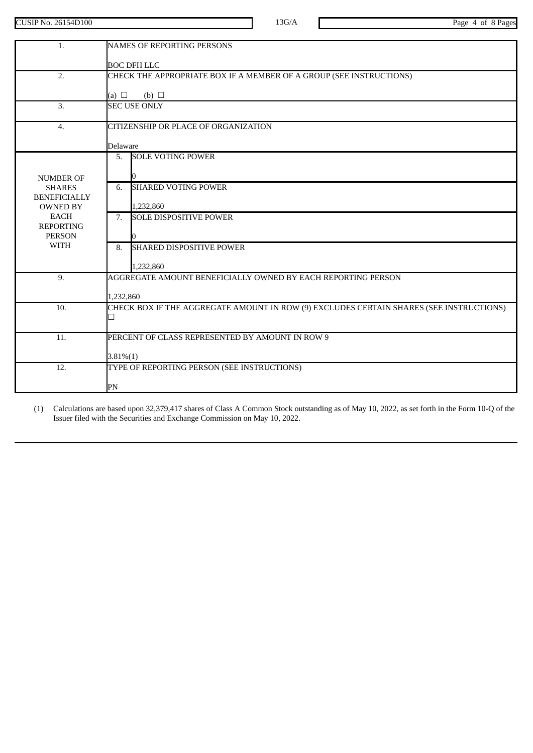CUSIP No. 26154D100 13G/A Page 4 of 8 Pages

| 1.                             | <b>NAMES OF REPORTING PERSONS</b>                                                       |
|--------------------------------|-----------------------------------------------------------------------------------------|
|                                | <b>BOC DFH LLC</b>                                                                      |
| 2.                             | CHECK THE APPROPRIATE BOX IF A MEMBER OF A GROUP (SEE INSTRUCTIONS)                     |
|                                | (a) $\Box$<br>(b) $\Box$                                                                |
| 3.                             | <b>SEC USE ONLY</b>                                                                     |
|                                |                                                                                         |
| $\overline{4}$ .               | CITIZENSHIP OR PLACE OF ORGANIZATION                                                    |
|                                | Delaware                                                                                |
|                                | <b>SOLE VOTING POWER</b><br>5.                                                          |
| <b>NUMBER OF</b>               |                                                                                         |
| <b>SHARES</b>                  | <b>SHARED VOTING POWER</b><br>6.                                                        |
| <b>BENEFICIALLY</b>            |                                                                                         |
| <b>OWNED BY</b><br><b>EACH</b> | 1,232,860<br>7. SOLE DISPOSITIVE POWER                                                  |
| <b>REPORTING</b>               |                                                                                         |
| <b>PERSON</b><br><b>WITH</b>   |                                                                                         |
|                                | <b>SHARED DISPOSITIVE POWER</b><br>8.                                                   |
|                                | 1,232,860                                                                               |
| 9.                             | AGGREGATE AMOUNT BENEFICIALLY OWNED BY EACH REPORTING PERSON                            |
|                                | 1,232,860                                                                               |
| 10.                            | CHECK BOX IF THE AGGREGATE AMOUNT IN ROW (9) EXCLUDES CERTAIN SHARES (SEE INSTRUCTIONS) |
|                                |                                                                                         |
| 11.                            | PERCENT OF CLASS REPRESENTED BY AMOUNT IN ROW 9                                         |
|                                |                                                                                         |
| 12.                            | $3.81\%(1)$<br>TYPE OF REPORTING PERSON (SEE INSTRUCTIONS)                              |
|                                |                                                                                         |
|                                | PN                                                                                      |

(1) Calculations are based upon 32,379,417 shares of Class A Common Stock outstanding as of May 10, 2022, as set forth in the Form 10-Q of the Issuer filed with the Securities and Exchange Commission on May 10, 2022.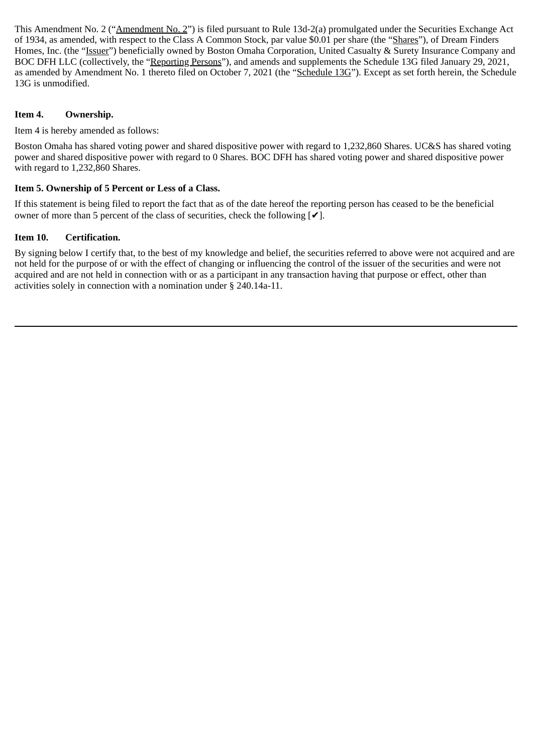This Amendment No. 2 ("Amendment No. 2") is filed pursuant to Rule 13d-2(a) promulgated under the Securities Exchange Act of 1934, as amended, with respect to the Class A Common Stock, par value \$0.01 per share (the "Shares"), of Dream Finders Homes, Inc. (the "Issuer") beneficially owned by Boston Omaha Corporation, United Casualty & Surety Insurance Company and BOC DFH LLC (collectively, the "Reporting Persons"), and amends and supplements the Schedule 13G filed January 29, 2021, as amended by Amendment No. 1 thereto filed on October 7, 2021 (the "Schedule  $13G$ "). Except as set forth herein, the Schedule 13G is unmodified.

#### **Item 4. Ownership.**

Item 4 is hereby amended as follows:

Boston Omaha has shared voting power and shared dispositive power with regard to 1,232,860 Shares. UC&S has shared voting power and shared dispositive power with regard to 0 Shares. BOC DFH has shared voting power and shared dispositive power with regard to 1,232,860 Shares.

### **Item 5. Ownership of 5 Percent or Less of a Class.**

If this statement is being filed to report the fact that as of the date hereof the reporting person has ceased to be the beneficial owner of more than 5 percent of the class of securities, check the following  $\lceil \checkmark \rceil$ .

### **Item 10. Certification.**

By signing below I certify that, to the best of my knowledge and belief, the securities referred to above were not acquired and are not held for the purpose of or with the effect of changing or influencing the control of the issuer of the securities and were not acquired and are not held in connection with or as a participant in any transaction having that purpose or effect, other than activities solely in connection with a nomination under § 240.14a-11.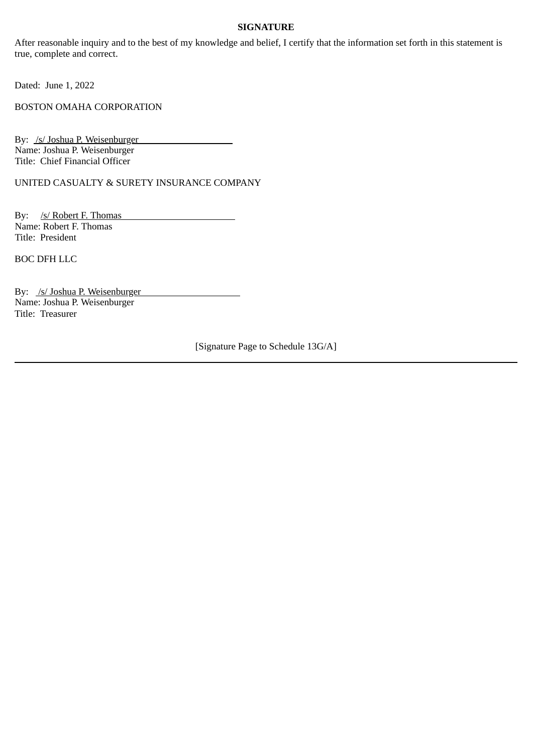#### **SIGNATURE**

After reasonable inquiry and to the best of my knowledge and belief, I certify that the information set forth in this statement is true, complete and correct.

Dated: June 1, 2022

BOSTON OMAHA CORPORATION

By: /s/ Joshua P. Weisenburger Name: Joshua P. Weisenburger Title: Chief Financial Officer

UNITED CASUALTY & SURETY INSURANCE COMPANY

By: /s/ Robert F. Thomas Name: Robert F. Thomas Title: President

BOC DFH LLC

By: /s/ Joshua P. Weisenburger Name: Joshua P. Weisenburger Title: Treasurer

[Signature Page to Schedule 13G/A]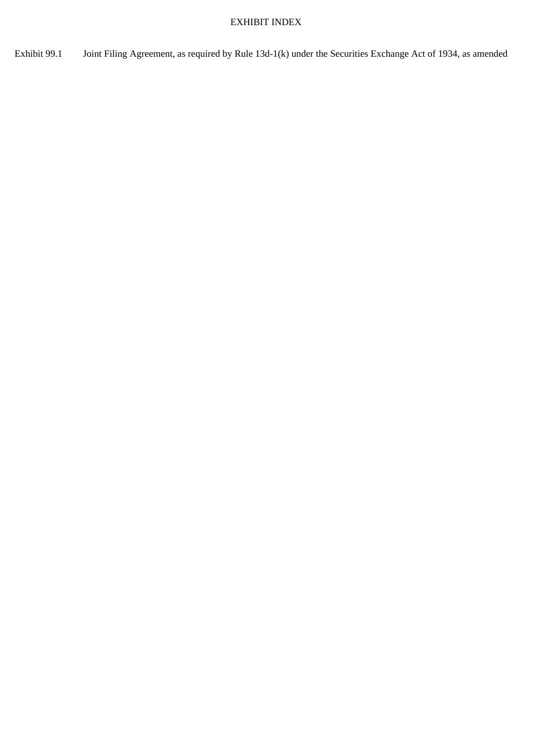### EXHIBIT INDEX

Exhibit 99.1 Joint Filing Agreement, as required by Rule 13d-1(k) under the Securities Exchange Act of 1934, as amended